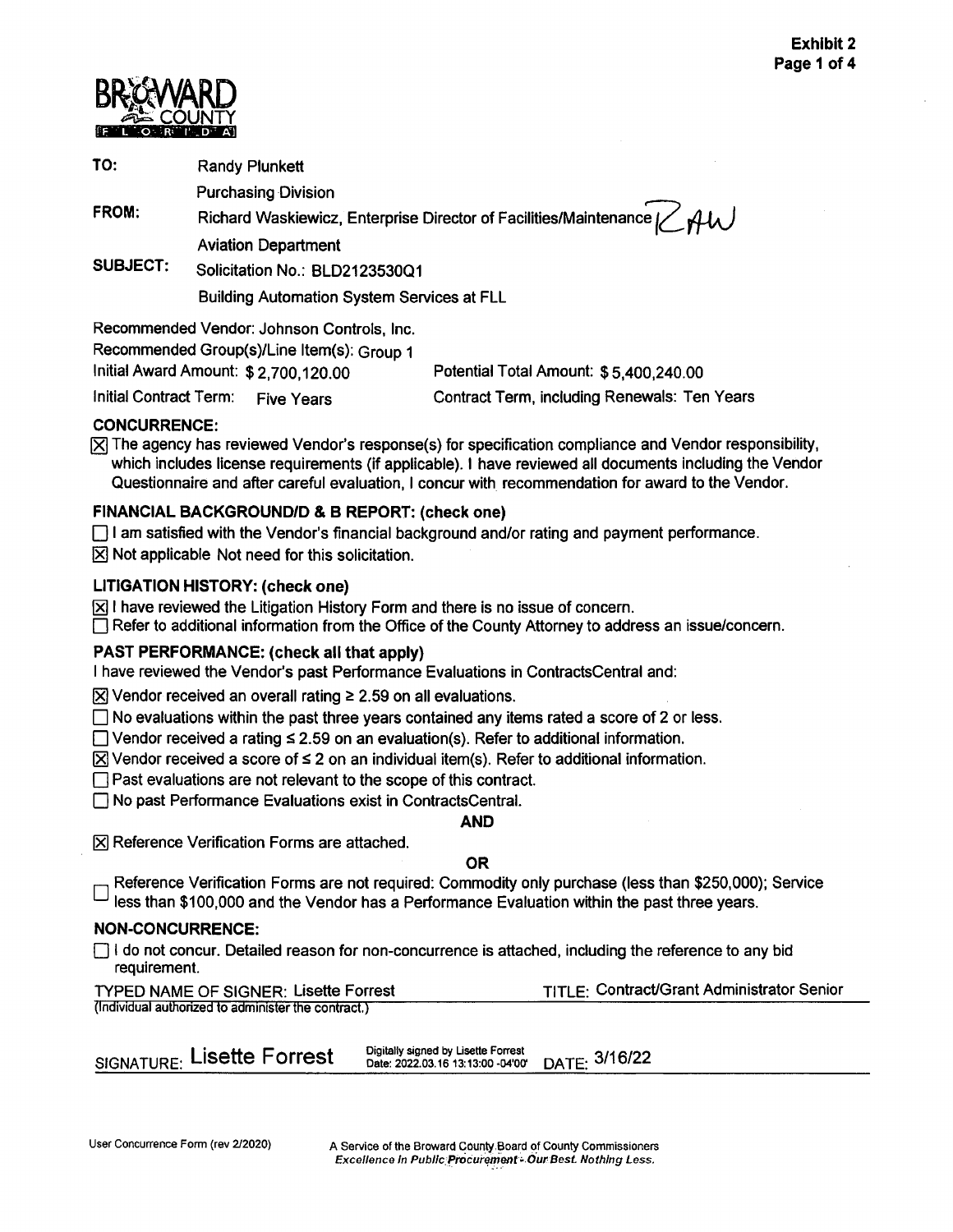

TO: Randy Plunkett

Purchasing Division

**FROM:** 

Richard Waskiewicz, Enterprise Director of Facilities/Maintenance [ Aviation Department

**SUBJECT:** Solicitation No.: BLD2123530Q1

Building Automation System Services at FLL

Recommended Vendor: Johnson Controls, Inc.

Recommended Group(s)/Line ltem(s): Group 1

Initial Award Amount: \$[2,700,120.00](https://2,700,120.00) Potential Total Amount: \$[5,400,240.00](https://5,400,240.00)

Initial Contract Term: Five Years Contract Term, including Renewals: Ten Years

## **CONCURRENCE:**

 $[\overline{\times}]$  The agency has reviewed Vendor's response(s) for specification compliance and Vendor responsibility, which includes license requirements (if applicable). I have reviewed all documents including the Vendor Questionnaire and after careful evaluation, I concur with recommendation for award to the Vendor.

## **FINANCIAL BACKGROUND/D** & **B REPORT: (check one)**

 $\Box$  I am satisfied with the Vendor's financial background and/or rating and payment performance.

 $[\overline{X}]$  Not applicable Not need for this solicitation.

## **LITIGATION HISTORY: (check one)**

 $\boxtimes$  I have reviewed the Litigation History Form and there is no issue of concern.

D Refer to additional information from the Office of the County Attorney to address an issue/concern.

## **PAST PERFORMANCE: (check all that apply)**

I have reviewed the Vendor's past Performance Evaluations in ContractsCentral and:

 $\boxtimes$  Vendor received an overall rating  $\geq$  2.59 on all evaluations.

 $\Box$  No evaluations within the past three years contained any items rated a score of 2 or less.

 $\Box$  Vendor received a rating  $\leq$  2.59 on an evaluation(s). Refer to additional information.

 $\boxtimes$  Vendor received a score of  $\leq$  2 on an individual item(s). Refer to additional information.

 $\Box$  Past evaluations are not relevant to the scope of this contract.

 $\Box$  No past Performance Evaluations exist in ContractsCentral.

### **AND**

**[X] Reference Verification Forms are attached.** 

### **OR**

Reference Verification Forms are not required: Commodity only purchase (less than \$250,000); Service less than \$100,000 and the Vendor has a Performance Evaluation within the past three years.

## **NON-CONCURRENCE:**

 $\Box$  I do not concur. Detailed reason for non-concurrence is attached, including the reference to any bid requirement.

| <b>TYPED NAME OF SIGNER: Lisette Forrest</b>        | TITLE: Contract/Grant Administrator Senior |
|-----------------------------------------------------|--------------------------------------------|
| (Individual authorized to administer the contract.) |                                            |

Digitally signed by Lisette Forrest SIGNATURE: Lisette Forrest **Date:** 2022.03.1613:13:00-04'00' DATE: 3116122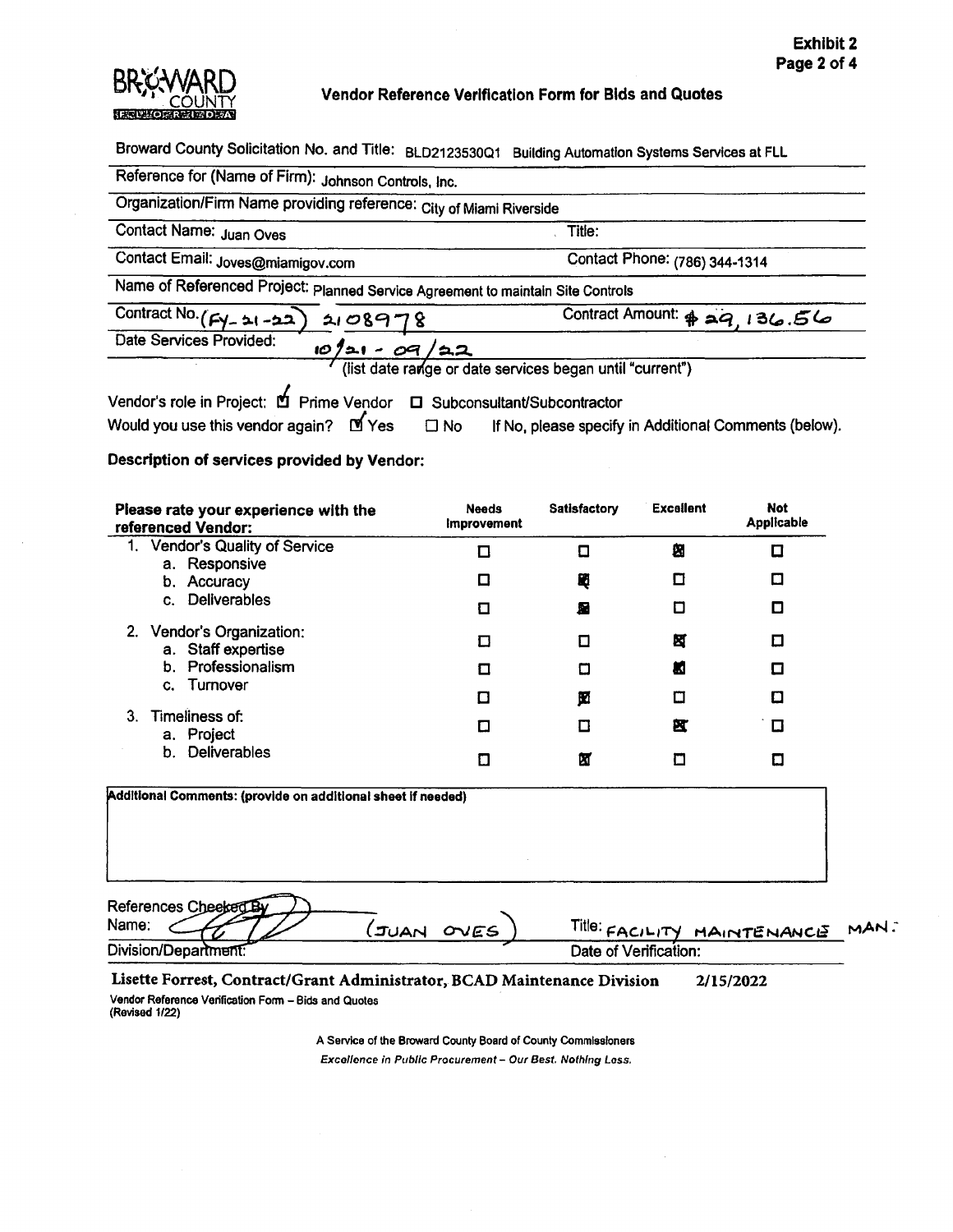

Broward County Solicitation No. and Title: BLD2123530Q1 Building Automation Systems Services at FLL

| Reference for (Name of Firm): Johnson Controls, Inc.                                                                                                        |                                                          |  |
|-------------------------------------------------------------------------------------------------------------------------------------------------------------|----------------------------------------------------------|--|
| Organization/Firm Name providing reference: City of Miami Riverside                                                                                         |                                                          |  |
| Contact Name: Juan Oves                                                                                                                                     | Title:                                                   |  |
| Contact Email: Joves@miamigov.com<br>Contact Phone: (786) 344-1314                                                                                          |                                                          |  |
| Name of Referenced Project: planned Service Agreement to maintain Site Controls                                                                             |                                                          |  |
| Contract No. ( $F$ y - 21 - 22) 21 08 9 78                                                                                                                  | Contract Amount: \$29, 136.56                            |  |
| Date Services Provided:<br>$10/21 - 09/22$                                                                                                                  |                                                          |  |
|                                                                                                                                                             | (list date range or date services began until "current") |  |
| Vendor's role in Project: <b>D</b> Prime Vendor<br>Would you use this vendor again? $M$ Yes $\Box$ No If No, please specify in Additional Comments (below). | □ Subconsultant/Subcontractor                            |  |

**Description of services provided by Vendor:** 

| Please rate your experience with the<br>referenced Vendor:   | <b>Needs</b><br><b>Improvement</b> | <b>Satisfactory</b> | <b>Excellent</b>                                                 | <b>Not</b><br><b>Applicable</b> |
|--------------------------------------------------------------|------------------------------------|---------------------|------------------------------------------------------------------|---------------------------------|
| Vendor's Quality of Service<br>1.<br>a. Responsive           | П                                  | Ω                   | 图                                                                | ◻                               |
| b. Accuracy                                                  | □                                  | 閐                   | ◘                                                                | ◻                               |
| <b>Deliverables</b><br>$\mathbf{C}$ .                        | п                                  | 層                   | О                                                                | О                               |
| 2. Vendor's Organization:<br>a. Staff expertise              | □                                  | ◻                   | 囡                                                                | ◻                               |
| b. Professionalism<br>Turnover<br>C.                         | Ω                                  | О                   | ш                                                                | ◻                               |
|                                                              | ◘                                  | 囡                   | П                                                                | O                               |
| 3.<br>Timeliness of:<br>a. Project                           | Π                                  | Ω                   | 笖                                                                | □                               |
| Deliverables<br>b.                                           | О                                  | 囟                   | ◘                                                                | О                               |
| Additional Comments: (provide on additional sheet if needed) |                                    |                     |                                                                  |                                 |
| References Cheeked By<br>Name:<br>.                          |                                    |                     | $\mathsf{Title:}$ $\mathsf{A}$ and $\mathsf{A}$ and $\mathsf{A}$ |                                 |

| Name:                | OVES.<br>NAUL. | TITIB: FACILITY MAINTENANCE " | MAN. |
|----------------------|----------------|-------------------------------|------|
| Division/Department: |                | Date of Verification:         |      |
|                      |                |                               |      |

**Lisette Forrest, Contract/Grant Administrator, BCAD Maintenance Division** 2/15/2022 Vendor Refarance Verification Form - Bids and Quotas (Revised 1/22)

> A Service of the Broward County Board of County Commissioners Excellence in Public Procurement - Our Best. Nothing Loss.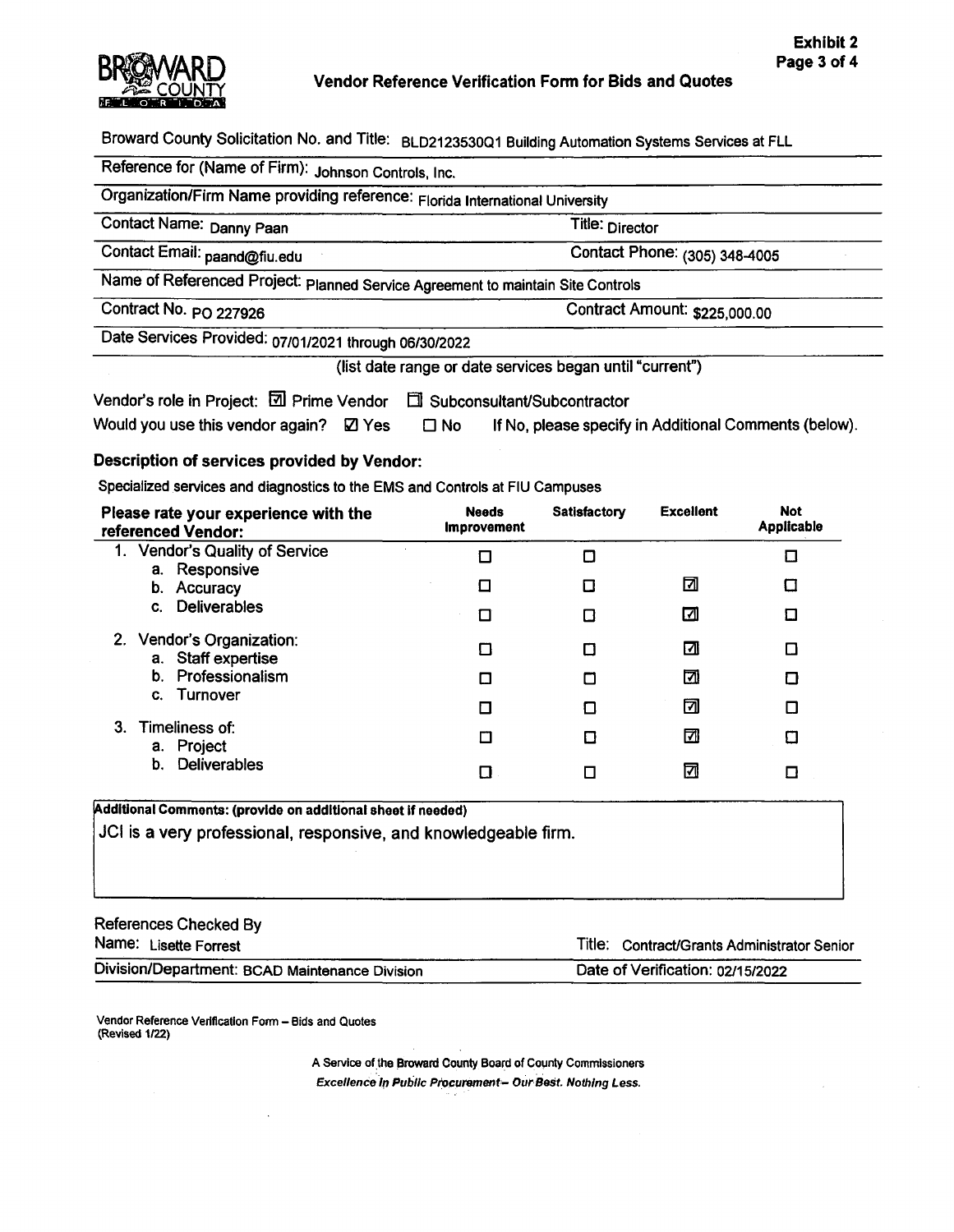

Broward County Solicitation No. and Title: BLD2123530Q1 Building Automation Systems Services at FLL

Reference for (Name of Firm): Johnson Controls, Inc.

Organization/Firm **Name** providing reference: Florida International University

**Contact Name: Danny Paan Title: Director** 

Contact Email: [paand@fiu.edu](mailto:paand@fiu.edu) Contact Phone: (305) 348-4005

Name of Referenced Project: Planned Service Agreement to maintain Site Controls

Contract No. PO 227926 Contract Amount: [\\$225,000.00](https://225,000.00) 

Date Services Provided: 07/01/2021 through 06/30/2022

(list date range or date services began until "current")

| Vendor's role in Project: 2 Prime Vendor 口 Subconsultant/Subcontractor |           |                                                       |
|------------------------------------------------------------------------|-----------|-------------------------------------------------------|
| Would you use this vendor again? $\boxtimes$ Yes                       | $\Box$ No | If No, please specify in Additional Comments (below). |

**Description of services provided by Vendor:** 

Specialized services and diagnostics to the EMS and Controls at FIU Campuses

| Please rate your experience with the<br>referenced Vendor: | <b>Needs</b><br><b>Improvement</b> | Satisfactory | <b>Excellent</b> | <b>Not</b><br>Applicable |
|------------------------------------------------------------|------------------------------------|--------------|------------------|--------------------------|
| 1. Vendor's Quality of Service                             |                                    |              |                  | О                        |
| a. Responsive<br>b. Accuracy                               | □                                  |              | ⊡                | Ω                        |
| c. Deliverables                                            | □                                  |              | ⊡                | О                        |
| 2. Vendor's Organization:<br>a. Staff expertise            | П                                  |              | ⊡                | ◘                        |
| b. Professionalism                                         | Ω                                  |              | ⊡                | Ω                        |
| Turnover<br>C.                                             | $\Box$                             |              | ⊡                | п                        |
| 3. Timeliness of:<br>a. Project                            |                                    |              | ⊡                | Ω                        |
| Deliverables<br>b.                                         |                                    |              | ⊠                | Ω                        |

**Addltlonal Comments: (provide on addltlonal sheet If needed)**  JCI is a very professional, responsive, and knowledgeable firm.

References Checked By

Name: Lisette Forrest **Name:** Lisette Forrest Contract/Grants Administrator Senior

Division/Department: BCAD Maintenance Division Date of Verification: 02/15/2022

Vendor Reference Verification Form - Bids and Quotes (Revised 1/22)

> A Service of the Broward County Board of County Commissioners Excellence in Public Procurement- Our Best. Nothing Less.